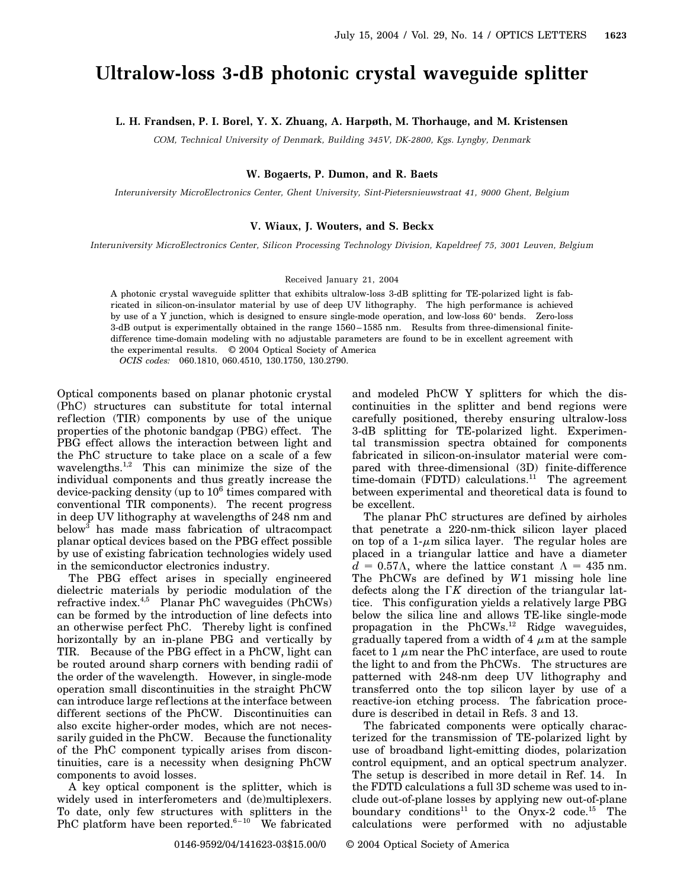# **Ultralow-loss 3-dB photonic crystal waveguide splitter**

## **L. H. Frandsen, P. I. Borel, Y. X. Zhuang, A. Harpøth, M. Thorhauge, and M. Kristensen**

*COM, Technical University of Denmark, Building 345V, DK-2800, Kgs. Lyngby, Denmark*

#### **W. Bogaerts, P. Dumon, and R. Baets**

*Interuniversity MicroElectronics Center, Ghent University, Sint-Pietersnieuwstraat 41, 9000 Ghent, Belgium*

### **V. Wiaux, J. Wouters, and S. Beckx**

*Interuniversity MicroElectronics Center, Silicon Processing Technology Division, Kapeldreef 75, 3001 Leuven, Belgium*

#### Received January 21, 2004

A photonic crystal waveguide splitter that exhibits ultralow-loss 3-dB splitting for TE-polarized light is fabricated in silicon-on-insulator material by use of deep UV lithography. The high performance is achieved by use of a Y junction, which is designed to ensure single-mode operation, and low-loss  $60^{\circ}$  bends. Zero-loss 3-dB output is experimentally obtained in the range 1560–1585 nm. Results from three-dimensional finitedifference time-domain modeling with no adjustable parameters are found to be in excellent agreement with the experimental results. © 2004 Optical Society of America

*OCIS codes:* 060.1810, 060.4510, 130.1750, 130.2790.

Optical components based on planar photonic crystal (PhC) structures can substitute for total internal reflection (TIR) components by use of the unique properties of the photonic bandgap (PBG) effect. The PBG effect allows the interaction between light and the PhC structure to take place on a scale of a few wavelengths.<sup>1,2</sup> This can minimize the size of the individual components and thus greatly increase the device-packing density (up to  $10^6$  times compared with conventional TIR components). The recent progress in deep UV lithography at wavelengths of 248 nm and below<sup>3</sup> has made mass fabrication of ultracompact planar optical devices based on the PBG effect possible by use of existing fabrication technologies widely used in the semiconductor electronics industry.

The PBG effect arises in specially engineered dielectric materials by periodic modulation of the refractive index.4,5 Planar PhC waveguides (PhCWs) can be formed by the introduction of line defects into an otherwise perfect PhC. Thereby light is confined horizontally by an in-plane PBG and vertically by TIR. Because of the PBG effect in a PhCW, light can be routed around sharp corners with bending radii of the order of the wavelength. However, in single-mode operation small discontinuities in the straight PhCW can introduce large reflections at the interface between different sections of the PhCW. Discontinuities can also excite higher-order modes, which are not necessarily guided in the PhCW. Because the functionality of the PhC component typically arises from discontinuities, care is a necessity when designing PhCW components to avoid losses.

A key optical component is the splitter, which is widely used in interferometers and (de)multiplexers. To date, only few structures with splitters in the PhC platform have been reported. $6-10$  We fabricated

and modeled PhCW Y splitters for which the discontinuities in the splitter and bend regions were carefully positioned, thereby ensuring ultralow-loss 3-dB splitting for TE-polarized light. Experimental transmission spectra obtained for components fabricated in silicon-on-insulator material were compared with three-dimensional (3D) finite-difference time-domain (FDTD) calculations.<sup>11</sup> The agreement between experimental and theoretical data is found to be excellent.

The planar PhC structures are defined by airholes that penetrate a 220-nm-thick silicon layer placed on top of a 1- $\mu$ m silica layer. The regular holes are placed in a triangular lattice and have a diameter  $d = 0.57\Lambda$ , where the lattice constant  $\Lambda = 435$  nm. The PhCWs are defined by *W*1 missing hole line defects along the  $\Gamma K$  direction of the triangular lattice. This configuration yields a relatively large PBG below the silica line and allows TE-like single-mode propagation in the PhCWs.<sup>12</sup> Ridge waveguides, gradually tapered from a width of 4  $\mu$ m at the sample facet to 1  $\mu$ m near the PhC interface, are used to route the light to and from the PhCWs. The structures are patterned with 248-nm deep UV lithography and transferred onto the top silicon layer by use of a reactive-ion etching process. The fabrication procedure is described in detail in Refs. 3 and 13.

The fabricated components were optically characterized for the transmission of TE-polarized light by use of broadband light-emitting diodes, polarization control equipment, and an optical spectrum analyzer. The setup is described in more detail in Ref. 14. In the FDTD calculations a full 3D scheme was used to include out-of-plane losses by applying new out-of-plane boundary conditions<sup>11</sup> to the Onyx-2 code.<sup>15</sup> The calculations were performed with no adjustable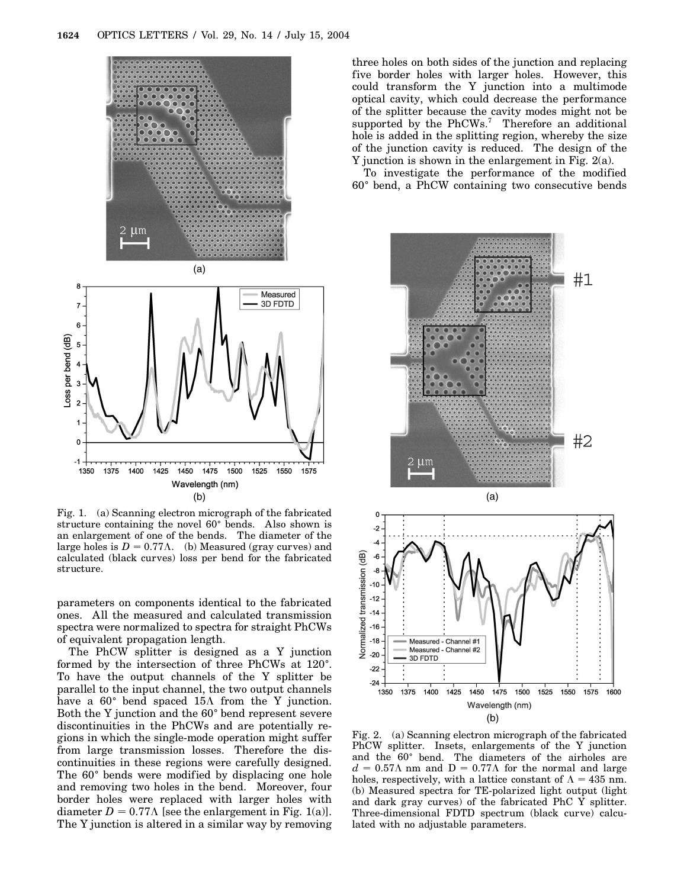

8



Fig. 1. (a) Scanning electron micrograph of the fabricated structure containing the novel  $60^{\circ}$  bends. Also shown is an enlargement of one of the bends. The diameter of the large holes is  $D = 0.77\Lambda$ . (b) Measured (gray curves) and calculated (black curves) loss per bend for the fabricated structure.

parameters on components identical to the fabricated ones. All the measured and calculated transmission spectra were normalized to spectra for straight PhCWs of equivalent propagation length.

The PhCW splitter is designed as a Y junction formed by the intersection of three PhCWs at 120°. To have the output channels of the Y splitter be parallel to the input channel, the two output channels have a  $60^{\circ}$  bend spaced  $15\Lambda$  from the Y junction. Both the Y junction and the  $60^{\circ}$  bend represent severe discontinuities in the PhCWs and are potentially regions in which the single-mode operation might suffer from large transmission losses. Therefore the discontinuities in these regions were carefully designed. The 60<sup>°</sup> bends were modified by displacing one hole and removing two holes in the bend. Moreover, four border holes were replaced with larger holes with diameter  $D = 0.77\Lambda$  [see the enlargement in Fig. 1(a)]. The Y junction is altered in a similar way by removing

three holes on both sides of the junction and replacing five border holes with larger holes. However, this could transform the Y junction into a multimode optical cavity, which could decrease the performance of the splitter because the cavity modes might not be supported by the PhCWs.<sup>7</sup> Therefore an additional hole is added in the splitting region, whereby the size of the junction cavity is reduced. The design of the Y junction is shown in the enlargement in Fig. 2(a).

To investigate the performance of the modified 60<sup>±</sup> bend, a PhCW containing two consecutive bends



Fig. 2. (a) Scanning electron micrograph of the fabricated PhCW splitter. Insets, enlargements of the Y junction and the 60° bend. The diameters of the airholes are  $d = 0.57\Lambda$  nm and  $D = 0.77\Lambda$  for the normal and large holes, respectively, with a lattice constant of  $\Lambda = 435$  nm. (b) Measured spectra for TE-polarized light output (light and dark gray curves) of the fabricated PhC Y splitter. Three-dimensional FDTD spectrum (black curve) calculated with no adjustable parameters.